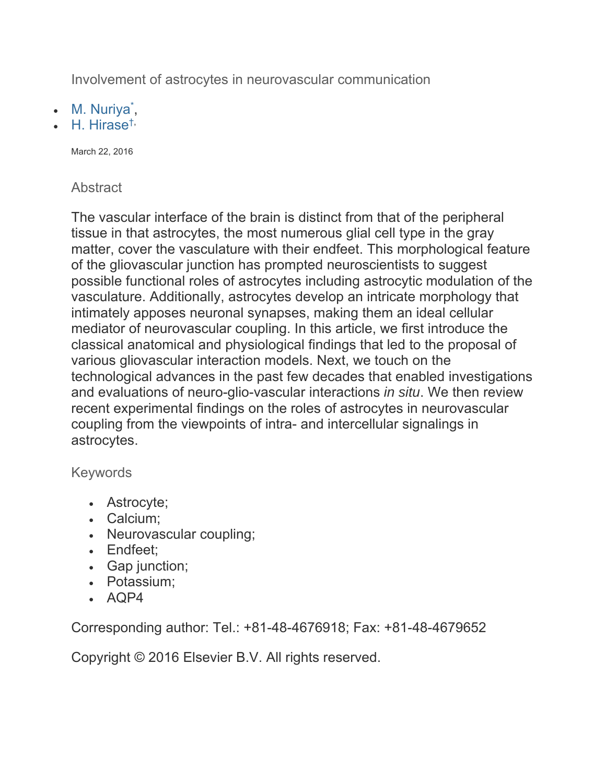Involvement of astrocytes in neurovascular communication

- M. Nuriya\*,
- $\bullet$  H. Hirase<sup>t,</sup>

March 22, 2016

## **Abstract**

The vascular interface of the brain is distinct from that of the peripheral tissue in that astrocytes, the most numerous glial cell type in the gray matter, cover the vasculature with their endfeet. This morphological feature of the gliovascular junction has prompted neuroscientists to suggest possible functional roles of astrocytes including astrocytic modulation of the vasculature. Additionally, astrocytes develop an intricate morphology that intimately apposes neuronal synapses, making them an ideal cellular mediator of neurovascular coupling. In this article, we first introduce the classical anatomical and physiological findings that led to the proposal of various gliovascular interaction models. Next, we touch on the technological advances in the past few decades that enabled investigations and evaluations of neuro-glio-vascular interactions *in situ*. We then review recent experimental findings on the roles of astrocytes in neurovascular coupling from the viewpoints of intra- and intercellular signalings in astrocytes.

## Keywords

- Astrocyte;
- Calcium;
- Neurovascular coupling;
- Endfeet:
- Gap junction;
- Potassium;
- $\cdot$  AQP4

Corresponding author: Tel.: +81-48-4676918; Fax: +81-48-4679652

Copyright © 2016 Elsevier B.V. All rights reserved.